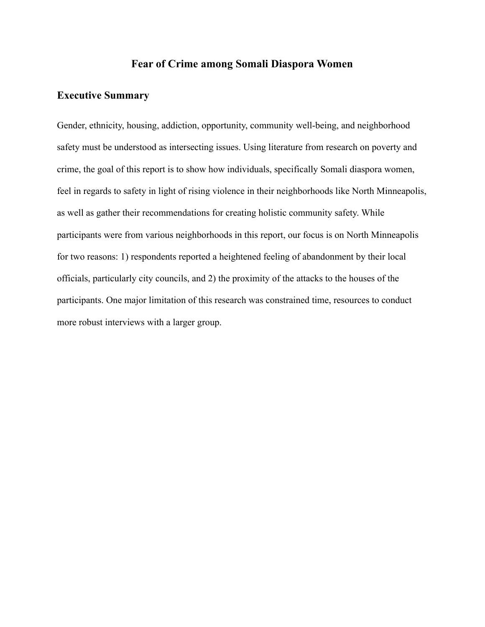## **Fear of Crime among Somali Diaspora Women**

#### **Executive Summary**

Gender, ethnicity, housing, addiction, opportunity, community well-being, and neighborhood safety must be understood as intersecting issues. Using literature from research on poverty and crime, the goal of this report is to show how individuals, specifically Somali diaspora women, feel in regards to safety in light of rising violence in their neighborhoods like North Minneapolis, as well as gather their recommendations for creating holistic community safety. While participants were from various neighborhoods in this report, our focus is on North Minneapolis for two reasons: 1) respondents reported a heightened feeling of abandonment by their local officials, particularly city councils, and 2) the proximity of the attacks to the houses of the participants. One major limitation of this research was constrained time, resources to conduct more robust interviews with a larger group.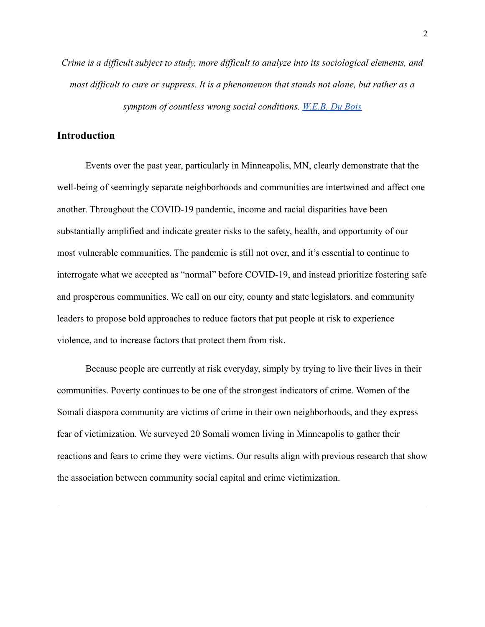*Crime is a difficult subject to study, more difficult to analyze into its sociological elements, and most difficult to cure or suppress. It is a phenomenon that stands not alone, but rather as a symptom of countless wrong social conditions. W.E.B. [Du Bois](https://english.hku.hk/staff/kjohnson/PDF/ENGL9K_KJ_PhilaNegro.pdf)*

## **Introduction**

Events over the past year, particularly in Minneapolis, MN, clearly demonstrate that the well-being of seemingly separate neighborhoods and communities are intertwined and affect one another. Throughout the COVID-19 pandemic, income and racial disparities have been substantially amplified and indicate greater risks to the safety, health, and opportunity of our most vulnerable communities. The pandemic is still not over, and it's essential to continue to interrogate what we accepted as "normal" before COVID-19, and instead prioritize fostering safe and prosperous communities. We call on our city, county and state legislators. and community leaders to propose bold approaches to reduce factors that put people at risk to experience violence, and to increase factors that protect them from risk.

Because people are currently at risk everyday, simply by trying to live their lives in their communities. Poverty continues to be one of the strongest indicators of crime. Women of the Somali diaspora community are victims of crime in their own neighborhoods, and they express fear of victimization. We surveyed 20 Somali women living in Minneapolis to gather their reactions and fears to crime they were victims. Our results align with previous research that show the association between community social capital and crime victimization.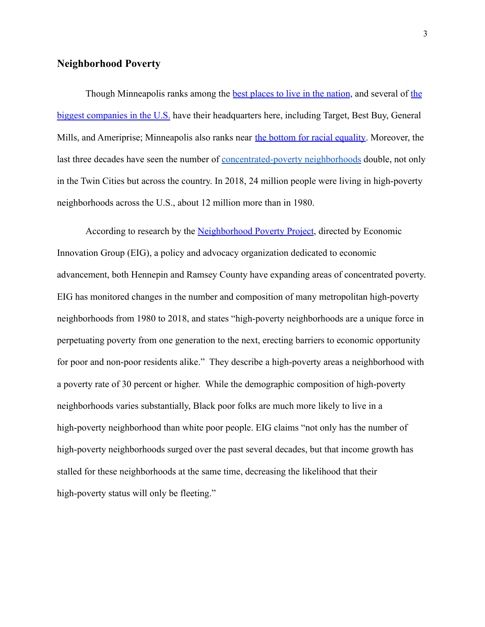### **Neighborhood Poverty**

Though Minneapolis ranks among [the](https://www.greatermsp.org/doing-business-here/major-employers/) **best places to [live in the nation](https://mn.gov/deed/ed/how-we-rank/)**, and several of the [biggest companies in the U.S.](https://www.greatermsp.org/doing-business-here/major-employers/) have their headquarters here, including Target, Best Buy, General Mills, and Ameriprise; Minneapolis also ranks near [the bottom for racial equality.](https://www.npr.org/sections/money/2020/06/02/867195676/minneapolis-ranks-near-the-bottom-for-racial-equality) Moreover, the last three decades have seen the number of <u>[concentrated-poverty](https://eig.org/wp-content/uploads/2020/04/Expanded-Geography-High-Poverty-Neighborhoods.pdf) neighborhoods</u> double, not only in the Twin Cities but across the country. In 2018, 24 million people were living in high-poverty neighborhoods across the U.S., about 12 million more than in 1980.

According to research by the [Neighborhood Poverty](https://eig.org/neighborhood-poverty-project) Project, directed by Economic Innovation Group (EIG), a policy and advocacy organization dedicated to economic advancement, both Hennepin and Ramsey County have expanding areas of concentrated poverty. EIG has monitored changes in the number and composition of many metropolitan high-poverty neighborhoods from 1980 to 2018, and states "high-poverty neighborhoods are a unique force in perpetuating poverty from one generation to the next, erecting barriers to economic opportunity for poor and non-poor residents alike." They describe a high-poverty areas a neighborhood with a poverty rate of 30 percent or higher. While the demographic composition of high-poverty neighborhoods varies substantially, Black poor folks are much more likely to live in a high-poverty neighborhood than white poor people. EIG claims "not only has the number of high-poverty neighborhoods surged over the past several decades, but that income growth has stalled for these neighborhoods at the same time, decreasing the likelihood that their high-poverty status will only be fleeting."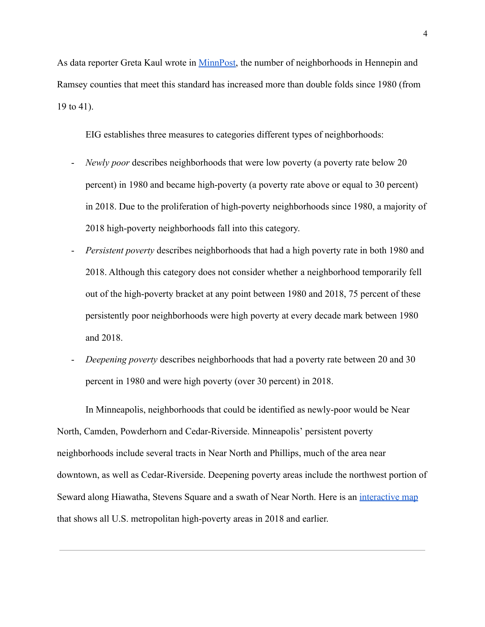As data reporter Greta Kaul wrote in [MinnPost,](https://www.minnpost.com/metro/2020/07/the-number-of-concentrated-poverty-neighborhoods-in-the-twin-cities-has-doubled-since-1980/) the number of neighborhoods in Hennepin and Ramsey counties that meet this standard has increased more than double folds since 1980 (from 19 to 41).

EIG establishes three measures to categories different types of neighborhoods:

- *Newly poor* describes neighborhoods that were low poverty (a poverty rate below 20 percent) in 1980 and became high-poverty (a poverty rate above or equal to 30 percent) in 2018. Due to the proliferation of high-poverty neighborhoods since 1980, a majority of 2018 high-poverty neighborhoods fall into this category.
- *Persistent poverty* describes neighborhoods that had a high poverty rate in both 1980 and 2018. Although this category does not consider whether a neighborhood temporarily fell out of the high-poverty bracket at any point between 1980 and 2018, 75 percent of these persistently poor neighborhoods were high poverty at every decade mark between 1980 and 2018.
- *Deepening poverty* describes neighborhoods that had a poverty rate between 20 and 30 percent in 1980 and were high poverty (over 30 percent) in 2018.

In Minneapolis, neighborhoods that could be identified as newly-poor would be Near North, Camden, Powderhorn and Cedar-Riverside. Minneapolis' persistent poverty neighborhoods include several tracts in Near North and Phillips, much of the area near downtown, as well as Cedar-Riverside. Deepening poverty areas include the northwest portion of Seward along Hiawatha, Stevens Square and a swath of Near North. Here is an [interactive map](https://eig.org/neighborhood-poverty-project/interactive-map) that shows all U.S. metropolitan high-poverty areas in 2018 and earlier.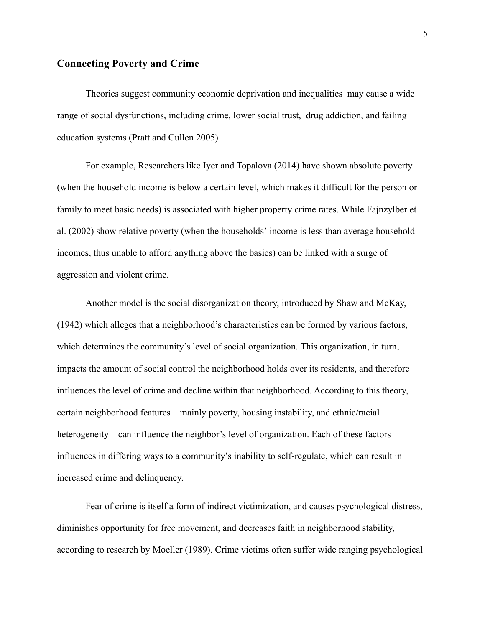### **Connecting Poverty and Crime**

Theories suggest community economic deprivation and inequalities may cause a wide range of social dysfunctions, including crime, lower social trust, drug addiction, and failing education systems (Pratt and Cullen 2005)

For example, Researchers like Iyer and Topalova (2014) have shown absolute poverty (when the household income is below a certain level, which makes it difficult for the person or family to meet basic needs) is associated with higher property crime rates. While Fajnzylber et al. (2002) show relative poverty (when the households' income is less than average household incomes, thus unable to afford anything above the basics) can be linked with a surge of aggression and violent crime.

Another model is the social disorganization theory, introduced by Shaw and McKay, (1942) which alleges that a neighborhood's characteristics can be formed by various factors, which determines the community's level of social organization. This organization, in turn, impacts the amount of social control the neighborhood holds over its residents, and therefore influences the level of crime and decline within that neighborhood. According to this theory, certain neighborhood features – mainly poverty, housing instability, and ethnic/racial heterogeneity – can influence the neighbor's level of organization. Each of these factors influences in differing ways to a community's inability to self-regulate, which can result in increased crime and delinquency.

Fear of crime is itself a form of indirect victimization, and causes psychological distress, diminishes opportunity for free movement, and decreases faith in neighborhood stability, according to research by Moeller (1989). Crime victims often suffer wide ranging psychological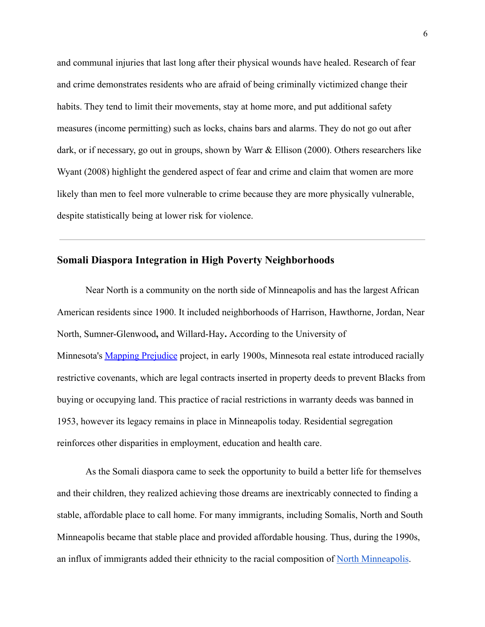and communal injuries that last long after their physical wounds have healed. Research of fear and crime demonstrates residents who are afraid of being criminally victimized change their habits. They tend to limit their movements, stay at home more, and put additional safety measures (income permitting) such as locks, chains bars and alarms. They do not go out after dark, or if necessary, go out in groups, shown by Warr & Ellison (2000). Others researchers like Wyant (2008) highlight the gendered aspect of fear and crime and claim that women are more likely than men to feel more vulnerable to crime because they are more physically vulnerable, despite statistically being at lower risk for violence.

# **Somali Diaspora Integration in High Poverty Neighborhoods**

Near North is a community on the north side of Minneapolis and has the largest African American residents since 1900. It included neighborhoods of Harrison, Hawthorne, Jordan, Near North, Sumner-Glenwood**,** and Willard-Hay**.** According to the University of Minnesota's [Mapping Prejudice](https://www.mappingprejudice.org/) project, in early 1900s, Minnesota real estate introduced racially restrictive covenants, which are legal contracts inserted in property deeds to prevent Blacks from buying or occupying land. This practice of racial restrictions in warranty deeds was banned in 1953, however its legacy remains in place in Minneapolis today. Residential segregation reinforces other disparities in employment, education and health care.

As the Somali diaspora came to seek the opportunity to build a better life for themselves and their children, they realized achieving those dreams are inextricably connected to finding a stable, affordable place to call home. For many immigrants, including Somalis, North and South Minneapolis became that stable place and provided affordable housing. Thus, during the 1990s, an influx of immigrants added their ethnicity to the racial composition of [North Minneapolis](https://metrocouncil.org/Planning/Projects/Thrive-2040/Choice-Place-and-Opportunity.aspx).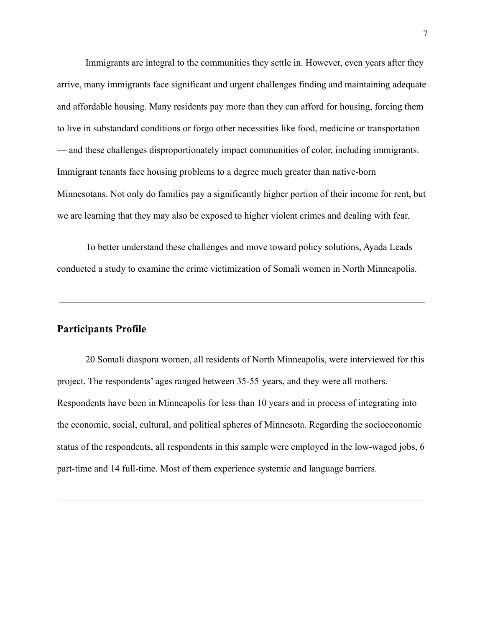Immigrants are integral to the communities they settle in. However, even years after they arrive, many immigrants face significant and urgent challenges finding and maintaining adequate and affordable housing. Many residents pay more than they can afford for housing, forcing them to live in substandard conditions or forgo other necessities like food, medicine or transportation — and these challenges disproportionately impact communities of color, including immigrants. Immigrant tenants face housing problems to a degree much greater than native-born Minnesotans. Not only do families pay a significantly higher portion of their income for rent, but we are learning that they may also be exposed to higher violent crimes and dealing with fear.

To better understand these challenges and move toward policy solutions, Ayada Leads conducted a study to examine the crime victimization of Somali women in North Minneapolis.

#### **Participants Profile**

20 Somali diaspora women, all residents of North Minneapolis, were interviewed for this project. The respondents' ages ranged between 35-55 years, and they were all mothers. Respondents have been in Minneapolis for less than 10 years and in process of integrating into the economic, social, cultural, and political spheres of Minnesota. Regarding the socioeconomic status of the respondents, all respondents in this sample were employed in the low-waged jobs, 6 part-time and 14 full-time. Most of them experience systemic and language barriers.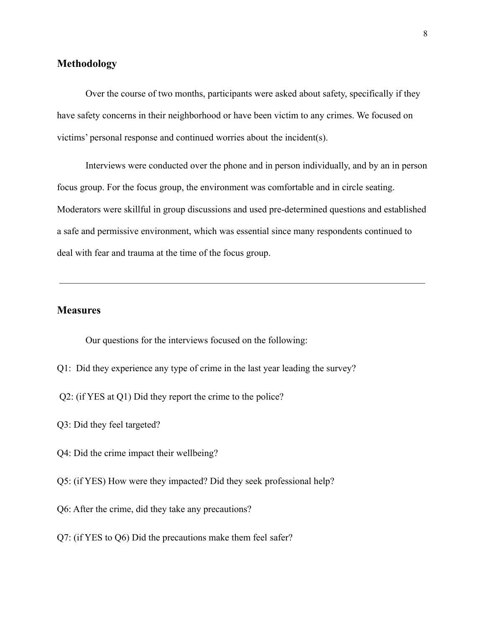### **Methodology**

Over the course of two months, participants were asked about safety, specifically if they have safety concerns in their neighborhood or have been victim to any crimes. We focused on victims' personal response and continued worries about the incident(s).

Interviews were conducted over the phone and in person individually, and by an in person focus group. For the focus group, the environment was comfortable and in circle seating. Moderators were skillful in group discussions and used pre-determined questions and established a safe and permissive environment, which was essential since many respondents continued to deal with fear and trauma at the time of the focus group.

## **Measures**

Our questions for the interviews focused on the following:

- Q1: Did they experience any type of crime in the last year leading the survey?
- Q2: (if YES at Q1) Did they report the crime to the police?
- Q3: Did they feel targeted?
- Q4: Did the crime impact their wellbeing?
- Q5: (if YES) How were they impacted? Did they seek professional help?
- Q6: After the crime, did they take any precautions?
- Q7: (if YES to Q6) Did the precautions make them feel safer?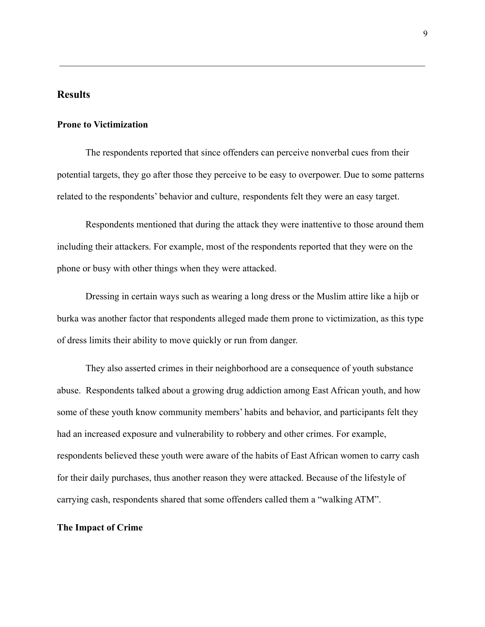### **Results**

#### **Prone to Victimization**

The respondents reported that since offenders can perceive nonverbal cues from their potential targets, they go after those they perceive to be easy to overpower. Due to some patterns related to the respondents' behavior and culture, respondents felt they were an easy target.

Respondents mentioned that during the attack they were inattentive to those around them including their attackers. For example, most of the respondents reported that they were on the phone or busy with other things when they were attacked.

Dressing in certain ways such as wearing a long dress or the Muslim attire like a hijb or burka was another factor that respondents alleged made them prone to victimization, as this type of dress limits their ability to move quickly or run from danger.

They also asserted crimes in their neighborhood are a consequence of youth substance abuse. Respondents talked about a growing drug addiction among East African youth, and how some of these youth know community members' habits and behavior, and participants felt they had an increased exposure and vulnerability to robbery and other crimes. For example, respondents believed these youth were aware of the habits of East African women to carry cash for their daily purchases, thus another reason they were attacked. Because of the lifestyle of carrying cash, respondents shared that some offenders called them a "walking ATM".

#### **The Impact of Crime**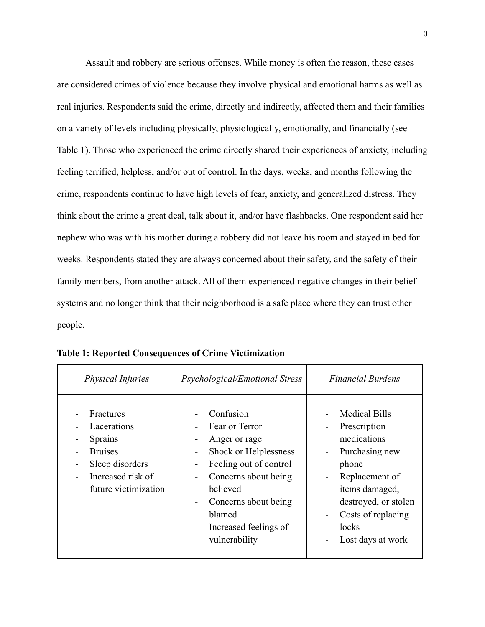Assault and robbery are serious offenses. While money is often the reason, these cases are considered crimes of violence because they involve physical and emotional harms as well as real injuries. Respondents said the crime, directly and indirectly, affected them and their families on a variety of levels including physically, physiologically, emotionally, and financially (see Table 1). Those who experienced the crime directly shared their experiences of anxiety, including feeling terrified, helpless, and/or out of control. In the days, weeks, and months following the crime, respondents continue to have high levels of fear, anxiety, and generalized distress. They think about the crime a great deal, talk about it, and/or have flashbacks. One respondent said her nephew who was with his mother during a robbery did not leave his room and stayed in bed for weeks. Respondents stated they are always concerned about their safety, and the safety of their family members, from another attack. All of them experienced negative changes in their belief systems and no longer think that their neighborhood is a safe place where they can trust other people.

| <b>Physical Injuries</b>                                                                                                     | Psychological/Emotional Stress                                                                                                                                                                                                                                             | <b>Financial Burdens</b>                                                                                                                                                                                                   |
|------------------------------------------------------------------------------------------------------------------------------|----------------------------------------------------------------------------------------------------------------------------------------------------------------------------------------------------------------------------------------------------------------------------|----------------------------------------------------------------------------------------------------------------------------------------------------------------------------------------------------------------------------|
| Fractures<br>Lacerations<br><b>Sprains</b><br><b>Bruises</b><br>Sleep disorders<br>Increased risk of<br>future victimization | Confusion<br>Fear or Terror<br>-<br>Anger or rage<br>۰<br>Shock or Helplessness<br>-<br>Feeling out of control<br>۰<br>Concerns about being<br>-<br>believed<br>Concerns about being<br>$\overline{\phantom{0}}$<br>blamed<br>Increased feelings of<br>Ξ.<br>vulnerability | <b>Medical Bills</b><br>Prescription<br>medications<br>Purchasing new<br>$\overline{\phantom{0}}$<br>phone<br>Replacement of<br>items damaged,<br>destroyed, or stolen<br>Costs of replacing<br>locks<br>Lost days at work |

**Table 1: Reported Consequences of Crime Victimization**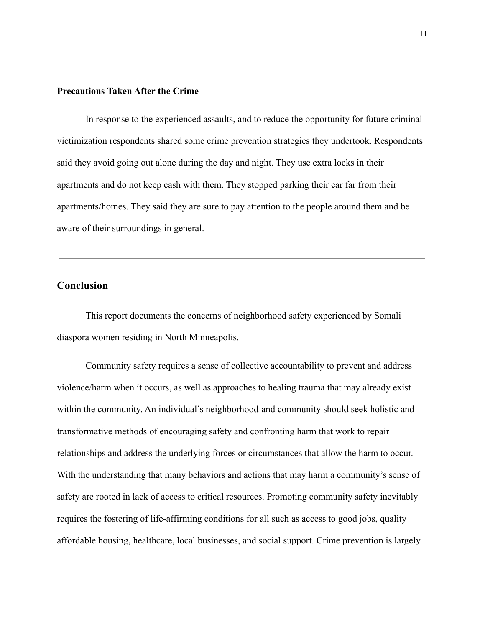#### **Precautions Taken After the Crime**

In response to the experienced assaults, and to reduce the opportunity for future criminal victimization respondents shared some crime prevention strategies they undertook. Respondents said they avoid going out alone during the day and night. They use extra locks in their apartments and do not keep cash with them. They stopped parking their car far from their apartments/homes. They said they are sure to pay attention to the people around them and be aware of their surroundings in general.

## **Conclusion**

This report documents the concerns of neighborhood safety experienced by Somali diaspora women residing in North Minneapolis.

Community safety requires a sense of collective accountability to prevent and address violence/harm when it occurs, as well as approaches to healing trauma that may already exist within the community. An individual's neighborhood and community should seek holistic and transformative methods of encouraging safety and confronting harm that work to repair relationships and address the underlying forces or circumstances that allow the harm to occur. With the understanding that many behaviors and actions that may harm a community's sense of safety are rooted in lack of access to critical resources. Promoting community safety inevitably requires the fostering of life-affirming conditions for all such as access to good jobs, quality affordable housing, healthcare, local businesses, and social support. Crime prevention is largely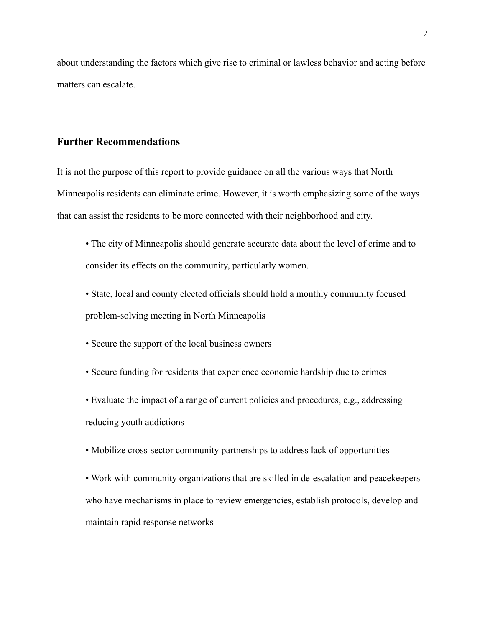about understanding the factors which give rise to criminal or lawless behavior and acting before matters can escalate.

## **Further Recommendations**

It is not the purpose of this report to provide guidance on all the various ways that North Minneapolis residents can eliminate crime. However, it is worth emphasizing some of the ways that can assist the residents to be more connected with their neighborhood and city.

• The city of Minneapolis should generate accurate data about the level of crime and to consider its effects on the community, particularly women.

• State, local and county elected officials should hold a monthly community focused problem-solving meeting in North Minneapolis

- Secure the support of the local business owners
- Secure funding for residents that experience economic hardship due to crimes

• Evaluate the impact of a range of current policies and procedures, e.g., addressing reducing youth addictions

• Mobilize cross-sector community partnerships to address lack of opportunities

• Work with community organizations that are skilled in de-escalation and peacekeepers who have mechanisms in place to review emergencies, establish protocols, develop and maintain rapid response networks